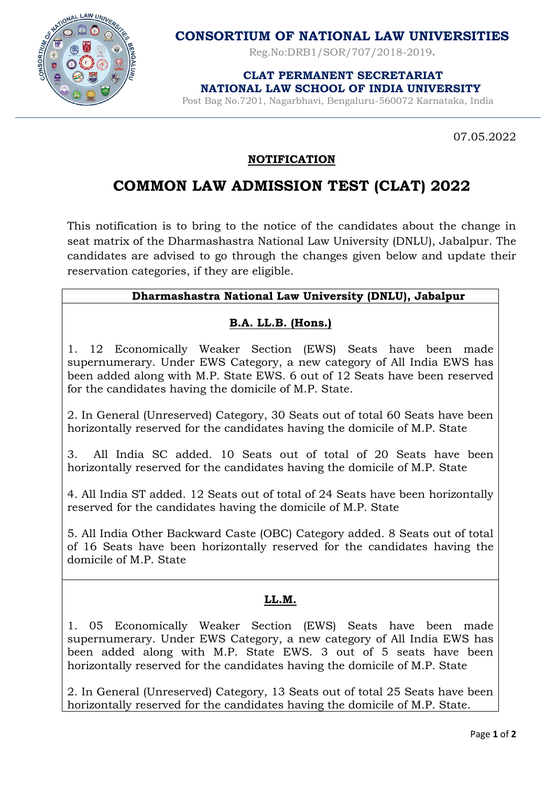

**CONSORTIUM OF NATIONAL LAW UNIVERSITIES**

Reg.No:DRB1/SOR/707/2018-2019**.**

 **CLAT PERMANENT SECRETARIAT NATIONAL LAW SCHOOL OF INDIA UNIVERSITY**

Post Bag No.7201, Nagarbhavi, Bengaluru-560072 Karnataka, India

07.05.2022

## **NOTIFICATION**

# **COMMON LAW ADMISSION TEST (CLAT) 2022**

This notification is to bring to the notice of the candidates about the change in seat matrix of the Dharmashastra National Law University (DNLU), Jabalpur. The candidates are advised to go through the changes given below and update their reservation categories, if they are eligible.

### **Dharmashastra National Law University (DNLU), Jabalpur**

### **B.A. LL.B. (Hons.)**

1. 12 Economically Weaker Section (EWS) Seats have been made supernumerary. Under EWS Category, a new category of All India EWS has been added along with M.P. State EWS. 6 out of 12 Seats have been reserved for the candidates having the domicile of M.P. State.

2. In General (Unreserved) Category, 30 Seats out of total 60 Seats have been horizontally reserved for the candidates having the domicile of M.P. State

3. All India SC added. 10 Seats out of total of 20 Seats have been horizontally reserved for the candidates having the domicile of M.P. State

4. All India ST added. 12 Seats out of total of 24 Seats have been horizontally reserved for the candidates having the domicile of M.P. State

5. All India Other Backward Caste (OBC) Category added. 8 Seats out of total of 16 Seats have been horizontally reserved for the candidates having the domicile of M.P. State

#### **LL.M.**

1. 05 Economically Weaker Section (EWS) Seats have been made supernumerary. Under EWS Category, a new category of All India EWS has been added along with M.P. State EWS. 3 out of 5 seats have been horizontally reserved for the candidates having the domicile of M.P. State

2. In General (Unreserved) Category, 13 Seats out of total 25 Seats have been horizontally reserved for the candidates having the domicile of M.P. State.